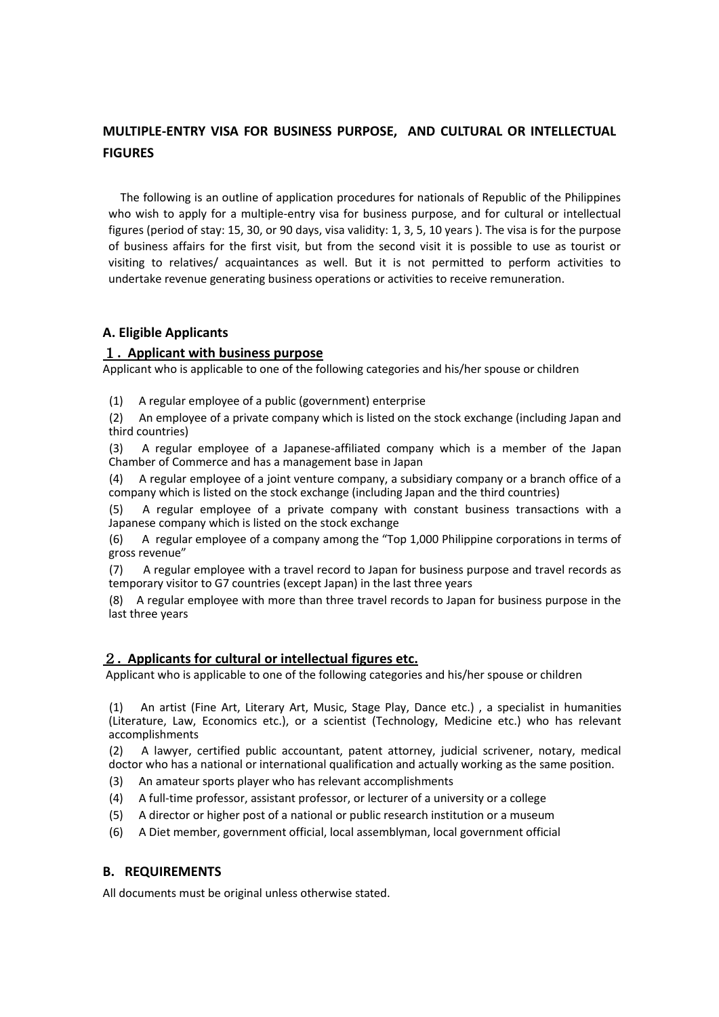## **MULTIPLE-ENTRY VISA FOR BUSINESS PURPOSE, AND CULTURAL OR INTELLECTUAL FIGURES**

The following is an outline of application procedures for nationals of Republic of the Philippines who wish to apply for a multiple-entry visa for business purpose, and for cultural or intellectual figures (period of stay: 15, 30, or 90 days, visa validity: 1, 3, 5, 10 years ). The visa is for the purpose of business affairs for the first visit, but from the second visit it is possible to use as tourist or visiting to relatives/ acquaintances as well. But it is not permitted to perform activities to undertake revenue generating business operations or activities to receive remuneration.

## **A. Eligible Applicants**

### 1**. Applicant with business purpose**

Applicant who is applicable to one of the following categories and his/her spouse or children

(1) A regular employee of a public (government) enterprise

(2) An employee of a private company which is listed on the stock exchange (including Japan and third countries)

(3) A regular employee of a Japanese-affiliated company which is a member of the Japan Chamber of Commerce and has a management base in Japan

(4) A regular employee of a joint venture company, a subsidiary company or a branch office of a company which is listed on the stock exchange (including Japan and the third countries)

(5) A regular employee of a private company with constant business transactions with a Japanese company which is listed on the stock exchange

(6) A regular employee of a company among the "Top 1,000 Philippine corporations in terms of gross revenue"

(7) A regular employee with a travel record to Japan for business purpose and travel records as temporary visitor to G7 countries (except Japan) in the last three years

(8) A regular employee with more than three travel records to Japan for business purpose in the last three years

## 2**. Applicants for cultural or intellectual figures etc.**

Applicant who is applicable to one of the following categories and his/her spouse or children

(1) An artist (Fine Art, Literary Art, Music, Stage Play, Dance etc.) , a specialist in humanities (Literature, Law, Economics etc.), or a scientist (Technology, Medicine etc.) who has relevant accomplishments

(2) A lawyer, certified public accountant, patent attorney, judicial scrivener, notary, medical doctor who has a national or international qualification and actually working as the same position.

- (3) An amateur sports player who has relevant accomplishments
- (4) A full-time professor, assistant professor, or lecturer of a university or a college
- (5) A director or higher post of a national or public research institution or a museum
- (6) A Diet member, government official, local assemblyman, local government official

## **B. REQUIREMENTS**

All documents must be original unless otherwise stated.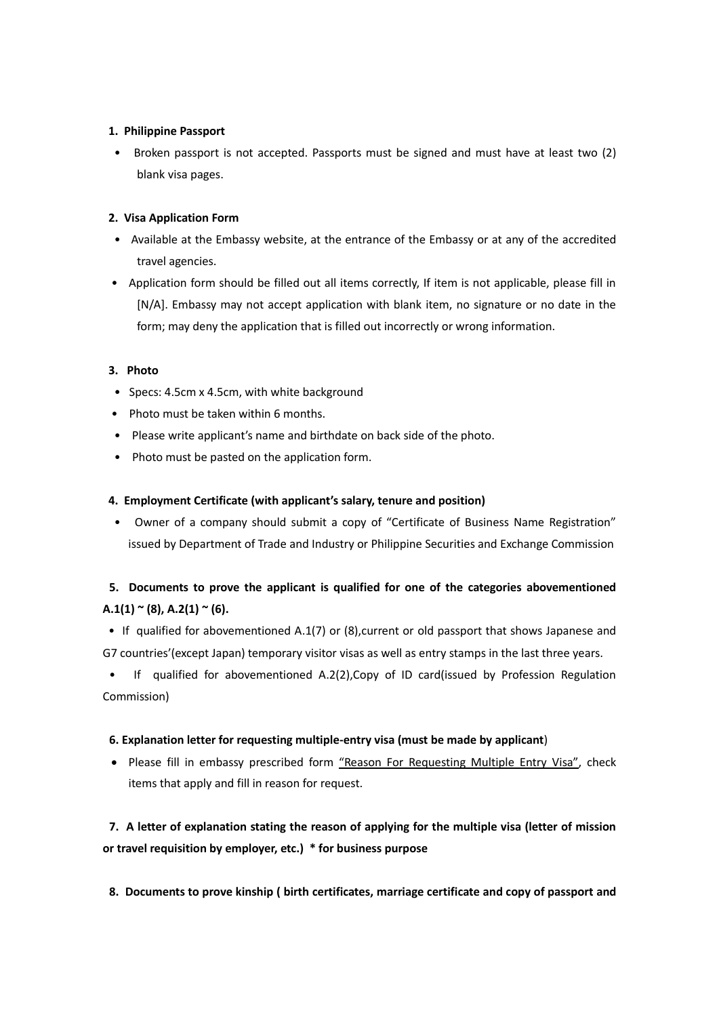#### **1. Philippine Passport**

 • Broken passport is not accepted. Passports must be signed and must have at least two (2) blank visa pages.

#### **2. Visa Application Form**

- Available at the Embassy website, at the entrance of the Embassy or at any of the accredited travel agencies.
- Application form should be filled out all items correctly, If item is not applicable, please fill in [N/A]. Embassy may not accept application with blank item, no signature or no date in the form; may deny the application that is filled out incorrectly or wrong information.

### **3. Photo**

- Specs: 4.5cm x 4.5cm, with white background
- Photo must be taken within 6 months.
- Please write applicant's name and birthdate on back side of the photo.
- Photo must be pasted on the application form.

### **4. Employment Certificate (with applicant's salary, tenure and position)**

 • Owner of a company should submit a copy of "Certificate of Business Name Registration" issued by Department of Trade and Industry or Philippine Securities and Exchange Commission

## **5. Documents to prove the applicant is qualified for one of the categories abovementioned A.1(1) ~ (8), A.2(1) ~ (6).**

• If qualified for abovementioned A.1(7) or (8),current or old passport that shows Japanese and G7 countries'(except Japan) temporary visitor visas as well as entry stamps in the last three years.

• If qualified for abovementioned A.2(2),Copy of ID card(issued by Profession Regulation Commission)

#### **6. Explanation letter for requesting multiple-entry visa (must be made by applicant**)

• Please fill in embassy prescribed form "Reason For Requesting Multiple Entry Visa", check items that apply and fill in reason for request.

**7. A letter of explanation stating the reason of applying for the multiple visa (letter of mission or travel requisition by employer, etc.) \* for business purpose**

**8. Documents to prove kinship ( birth certificates, marriage certificate and copy of passport and**